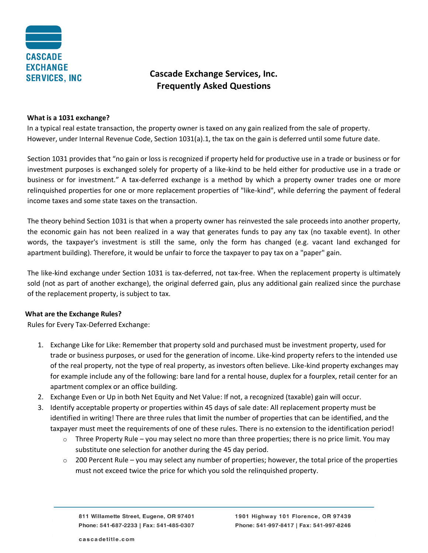

# **Cascade Exchange Services, Inc. Frequently Asked Questions**

#### **What is a 1031 exchange?**

In a typical real estate transaction, the property owner is taxed on any gain realized from the sale of property. However, under Internal Revenue Code, Section 1031(a).1, the tax on the gain is deferred until some future date.

Section 1031 provides that "no gain or loss is recognized if property held for productive use in a trade or business or for investment purposes is exchanged solely for property of a like-kind to be held either for productive use in a trade or business or for investment." A tax-deferred exchange is a method by which a property owner trades one or more relinquished properties for one or more replacement properties of "like-kind", while deferring the payment of federal income taxes and some state taxes on the transaction.

The theory behind Section 1031 is that when a property owner has reinvested the sale proceeds into another property, the economic gain has not been realized in a way that generates funds to pay any tax (no taxable event). In other words, the taxpayer's investment is still the same, only the form has changed (e.g. vacant land exchanged for apartment building). Therefore, it would be unfair to force the taxpayer to pay tax on a "paper" gain.

The like-kind exchange under Section 1031 is tax-deferred, not tax-free. When the replacement property is ultimately sold (not as part of another exchange), the original deferred gain, plus any additional gain realized since the purchase of the replacement property, is subject to tax.

#### **What are the Exchange Rules?**

Rules for Every Tax-Deferred Exchange:

- 1. Exchange Like for Like: Remember that property sold and purchased must be investment property, used for trade or business purposes, or used for the generation of income. Like-kind property refers to the intended use of the real property, not the type of real property, as investors often believe. Like-kind property exchanges may for example include any of the following: bare land for a rental house, duplex for a fourplex, retail center for an apartment complex or an office building.
- 2. Exchange Even or Up in both Net Equity and Net Value: If not, a recognized (taxable) gain will occur.
- 3. Identify acceptable property or properties within 45 days of sale date: All replacement property must be identified in writing! There are three rules that limit the number of properties that can be identified, and the taxpayer must meet the requirements of one of these rules. There is no extension to the identification period!
	- o Three Property Rule you may select no more than three properties; there is no price limit. You may substitute one selection for another during the 45 day period.
	- $\circ$  200 Percent Rule you may select any number of properties; however, the total price of the properties must not exceed twice the price for which you sold the relinquished property.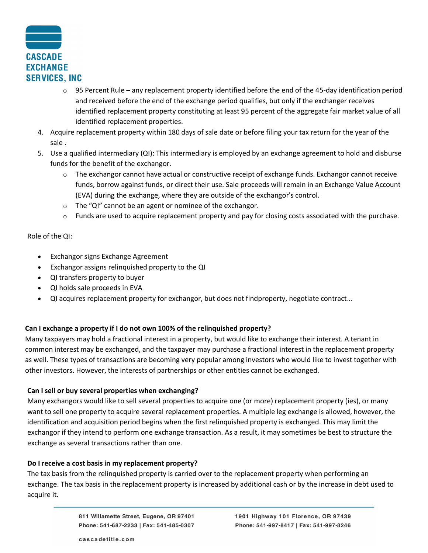

- $\circ$  95 Percent Rule any replacement property identified before the end of the 45-day identification period and received before the end of the exchange period qualifies, but only if the exchanger receives identified replacement property constituting at least 95 percent of the aggregate fair market value of all identified replacement properties.
- 4. Acquire replacement property within 180 days of sale date or before filing your tax return for the year of the sale .
- 5. Use a qualified intermediary (QI): This intermediary is employed by an exchange agreement to hold and disburse funds for the benefit of the exchangor.
	- $\circ$  The exchangor cannot have actual or constructive receipt of exchange funds. Exchangor cannot receive funds, borrow against funds, or direct their use. Sale proceeds will remain in an Exchange Value Account (EVA) during the exchange, where they are outside of the exchangor's control.
	- o The "QI" cannot be an agent or nominee of the exchangor.
	- $\circ$  Funds are used to acquire replacement property and pay for closing costs associated with the purchase.

Role of the QI:

- Exchangor signs Exchange Agreement
- Exchangor assigns relinquished property to the QI
- QI transfers property to buyer
- QI holds sale proceeds in EVA
- QI acquires replacement property for exchangor, but does not findproperty, negotiate contract…

# **Can I exchange a property if I do not own 100% of the relinquished property?**

Many taxpayers may hold a fractional interest in a property, but would like to exchange their interest. A tenant in common interest may be exchanged, and the taxpayer may purchase a fractional interest in the replacement property as well. These types of transactions are becoming very popular among investors who would like to invest together with other investors. However, the interests of partnerships or other entities cannot be exchanged.

# **Can I sell or buy several properties when exchanging?**

Many exchangors would like to sell several properties to acquire one (or more) replacement property (ies), or many want to sell one property to acquire several replacement properties. A multiple leg exchange is allowed, however, the identification and acquisition period begins when the first relinquished property is exchanged. This may limit the exchangor if they intend to perform one exchange transaction. As a result, it may sometimes be best to structure the exchange as several transactions rather than one.

# **Do I receive a cost basis in my replacement property?**

The tax basis from the relinquished property is carried over to the replacement property when performing an exchange. The tax basis in the replacement property is increased by additional cash or by the increase in debt used to acquire it.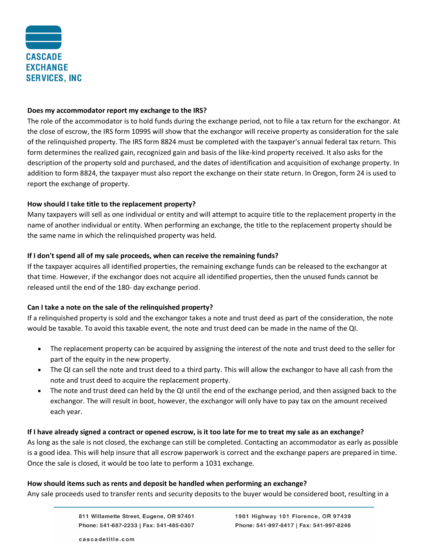

#### **Does my accommodator report my exchange to the IRS?**

The role of the accommodator is to hold funds during the exchange period, not to file a tax return for the exchangor. At the close of escrow, the IRS form 1099S will show that the exchangor will receive property as consideration for the sale of the relinquished property. The IRS form 8824 must be completed with the taxpayer's annual federal tax return. This form determines the realized gain, recognized gain and basis of the like-kind property received. It also asks for the description of the property sold and purchased, and the dates of identification and acquisition of exchange property. In addition to form 8824, the taxpayer must also report the exchange on their state return. In Oregon, form 24 is used to report the exchange of property.

#### **How should I take title to the replacement property?**

Many taxpayers will sell as one individual or entity and will attempt to acquire title to the replacement property in the name of another individual or entity. When performing an exchange, the title to the replacement property should be the same name in which the relinquished property was held.

#### **If I don't spend all of my sale proceeds, when can receive the remaining funds?**

If the taxpayer acquires all identified properties, the remaining exchange funds can be released to the exchangor at that time. However, if the exchangor does not acquire all identified properties, then the unused funds cannot be released until the end of the 180- day exchange period.

#### **Can I take a note on the sale of the relinquished property?**

If a relinquished property is sold and the exchangor takes a note and trust deed as part of the consideration, the note would be taxable. To avoid this taxable event, the note and trust deed can be made in the name of the QI.

- The replacement property can be acquired by assigning the interest of the note and trust deed to the seller for part of the equity in the new property.
- The QI can sell the note and trust deed to a third party. This will allow the exchangor to have all cash from the note and trust deed to acquire the replacement property.
- The note and trust deed can held by the QI until the end of the exchange period, and then assigned back to the exchangor. The will result in boot, however, the exchangor will only have to pay tax on the amount received each year.

#### **If I have already signed a contract or opened escrow, is it too late for me to treat my sale as an exchange?**

As long as the sale is not closed, the exchange can still be completed. Contacting an accommodator as early as possible is a good idea. This will help insure that all escrow paperwork is correct and the exchange papers are prepared in time. Once the sale is closed, it would be too late to perform a 1031 exchange.

#### **How should items such as rents and deposit be handled when performing an exchange?**

Any sale proceeds used to transfer rents and security deposits to the buyer would be considered boot, resulting in a